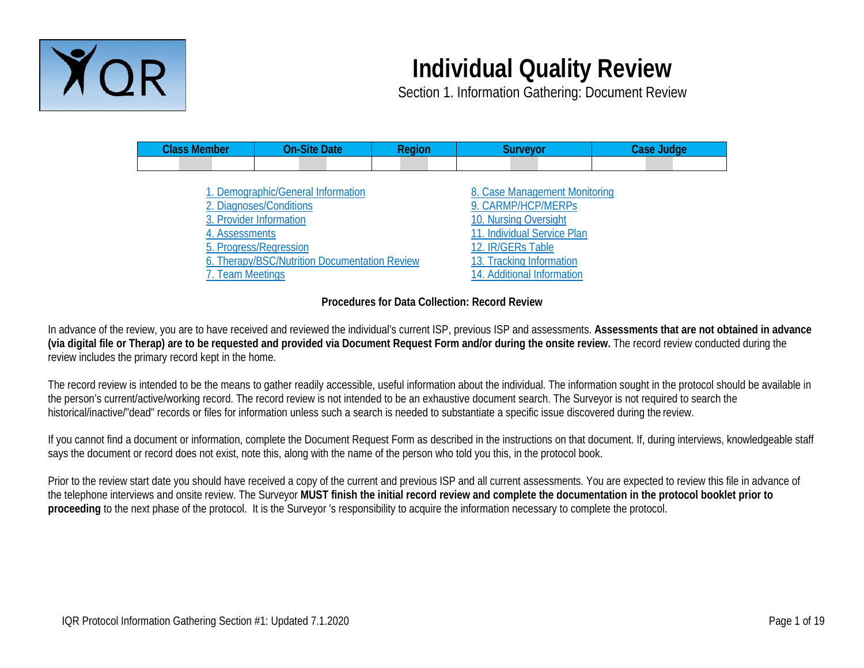

# **Individual Quality Review**

Section 1. Information Gathering: Document Review

| <b>Class Member</b>                | <b>On-Site Date</b>                                                                                                                                                 | <b>Region</b> | <b>Surveyor</b>                                                                                                                                                                            | <b>Case Judge</b> |
|------------------------------------|---------------------------------------------------------------------------------------------------------------------------------------------------------------------|---------------|--------------------------------------------------------------------------------------------------------------------------------------------------------------------------------------------|-------------------|
|                                    |                                                                                                                                                                     |               |                                                                                                                                                                                            |                   |
| 4. Assessments<br>7. Team Meetings | 1. Demographic/General Information<br>2. Diagnoses/Conditions<br>3. Provider Information<br>5. Progress/Regression<br>6. Therapy/BSC/Nutrition Documentation Review |               | 8. Case Management Monitoring<br>9. CARMP/HCP/MERPs<br>10. Nursing Oversight<br>11. Individual Service Plan<br>12. IR/GERs Table<br>13. Tracking Information<br>14. Additional Information |                   |

## **Procedures for Data Collection: Record Review**

In advance of the review, you are to have received and reviewed the individual's current ISP, previous ISP and assessments. **Assessments that are not obtained in advance (via digital file or Therap) are to be requested and provided via Document Request Form and/or during the onsite review.** The record review conducted during the review includes the primary record kept in the home.

The record review is intended to be the means to gather readily accessible, useful information about the individual. The information sought in the protocol should be available in the person's current/active/working record. The record review is not intended to be an exhaustive document search. The Surveyor is not required to search the historical/inactive/"dead" records or files for information unless such a search is needed to substantiate a specific issue discovered during the review.

If you cannot find a document or information, complete the Document Request Form as described in the instructions on that document. If, during interviews, knowledgeable staff says the document or record does not exist, note this, along with the name of the person who told you this, in the protocol book.

Prior to the review start date you should have received a copy of the current and previous ISP and all current assessments. You are expected to review this file in advance of the telephone interviews and onsite review. The Surveyor **MUST finish the initial record review and complete the documentation in the protocol booklet prior to proceeding** to the next phase of the protocol. It is the Surveyor 's responsibility to acquire the information necessary to complete the protocol.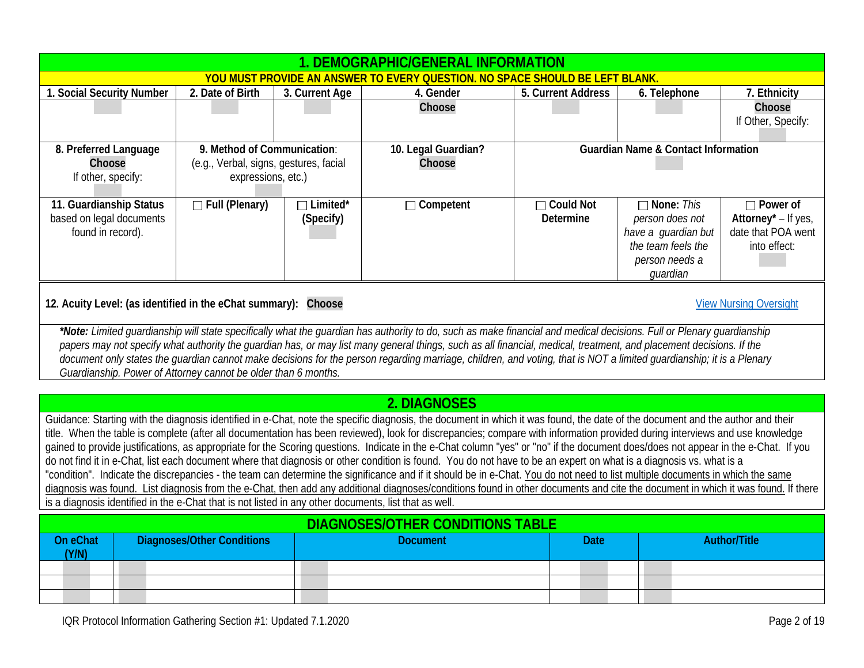<span id="page-1-2"></span>

|                                                                                                       |                                                                                                 |                                        | <u>YOU MUST PROVIDE AN ANSWER TO EVERY QUESTION. NO SPACE SHOULD BE LEFT BLANK</u>                                                                                                 |                    |                                                |                     |  |  |
|-------------------------------------------------------------------------------------------------------|-------------------------------------------------------------------------------------------------|----------------------------------------|------------------------------------------------------------------------------------------------------------------------------------------------------------------------------------|--------------------|------------------------------------------------|---------------------|--|--|
| 1. Social Security Number                                                                             | 2. Date of Birth                                                                                | 3. Current Age                         | 4. Gender                                                                                                                                                                          | 5. Current Address | 6. Telephone                                   | 7. Ethnicity        |  |  |
|                                                                                                       |                                                                                                 |                                        | Choose                                                                                                                                                                             |                    |                                                | Choose              |  |  |
|                                                                                                       |                                                                                                 |                                        |                                                                                                                                                                                    |                    |                                                | If Other, Specify:  |  |  |
|                                                                                                       |                                                                                                 |                                        |                                                                                                                                                                                    |                    |                                                |                     |  |  |
| 8. Preferred Language                                                                                 |                                                                                                 | 9. Method of Communication:            | 10. Legal Guardian?                                                                                                                                                                |                    | <b>Guardian Name &amp; Contact Information</b> |                     |  |  |
| Choose                                                                                                |                                                                                                 | (e.g., Verbal, signs, gestures, facial | Choose                                                                                                                                                                             |                    |                                                |                     |  |  |
| If other, specify:                                                                                    |                                                                                                 | expressions, etc.)                     |                                                                                                                                                                                    |                    |                                                |                     |  |  |
| 11. Guardianship Status                                                                               | $\Box$ Full (Plenary)                                                                           | $\Box$ Limited*                        | $\Box$ Competent                                                                                                                                                                   | □ Could Not        | $\Box$ None: This                              | $\Box$ Power of     |  |  |
| based on legal documents                                                                              |                                                                                                 | (Specify)                              |                                                                                                                                                                                    | <b>Determine</b>   | person does not                                | Attorney* - If yes, |  |  |
| found in record).                                                                                     |                                                                                                 |                                        |                                                                                                                                                                                    |                    | have a guardian but                            | date that POA went  |  |  |
|                                                                                                       |                                                                                                 |                                        |                                                                                                                                                                                    |                    | the team feels the                             | into effect:        |  |  |
|                                                                                                       |                                                                                                 |                                        |                                                                                                                                                                                    |                    | person needs a                                 |                     |  |  |
|                                                                                                       |                                                                                                 |                                        |                                                                                                                                                                                    |                    | quardian                                       |                     |  |  |
|                                                                                                       | 12. Acuity Level: (as identified in the eChat summary): Choose<br><b>View Nursing Oversight</b> |                                        |                                                                                                                                                                                    |                    |                                                |                     |  |  |
|                                                                                                       |                                                                                                 |                                        | *Note: Limited guardianship will state specifically what the guardian has authority to do, such as make financial and medical decisions. Full or Plenary quardianship              |                    |                                                |                     |  |  |
|                                                                                                       |                                                                                                 |                                        | papers may not specify what authority the guardian has, or may list many general things, such as all financial, medical, treatment, and placement decisions. If the                |                    |                                                |                     |  |  |
|                                                                                                       |                                                                                                 |                                        | document only states the guardian cannot make decisions for the person regarding marriage, children, and voting, that is NOT a limited guardianship; it is a Plenary               |                    |                                                |                     |  |  |
|                                                                                                       | Guardianship. Power of Attorney cannot be older than 6 months.                                  |                                        |                                                                                                                                                                                    |                    |                                                |                     |  |  |
|                                                                                                       |                                                                                                 |                                        |                                                                                                                                                                                    |                    |                                                |                     |  |  |
|                                                                                                       |                                                                                                 |                                        | 2. DIAGNOSES                                                                                                                                                                       |                    |                                                |                     |  |  |
|                                                                                                       |                                                                                                 |                                        | Guidance: Starting with the diagnosis identified in e-Chat, note the specific diagnosis, the document in which it was found, the date of the document and the author and their     |                    |                                                |                     |  |  |
|                                                                                                       |                                                                                                 |                                        | title. When the table is complete (after all documentation has been reviewed), look for discrepancies; compare with information provided during interviews and use knowledge       |                    |                                                |                     |  |  |
|                                                                                                       |                                                                                                 |                                        | gained to provide justifications, as appropriate for the Scoring questions. Indicate in the e-Chat column "yes" or "no" if the document does/does not appear in the e-Chat. If you |                    |                                                |                     |  |  |
|                                                                                                       |                                                                                                 |                                        | do not find it in e-Chat, list each document where that diagnosis or other condition is found. You do not have to be an expert on what is a diagnosis vs. what is a                |                    |                                                |                     |  |  |
|                                                                                                       |                                                                                                 |                                        | "condition". Indicate the discrepancies - the team can determine the significance and if it should be in e-Chat. You do not need to list multiple documents in which the same      |                    |                                                |                     |  |  |
|                                                                                                       |                                                                                                 |                                        | diagnosis was found. List diagnosis from the e-Chat, then add any additional diagnoses/conditions found in other documents and cite the document in which it was found. If there   |                    |                                                |                     |  |  |
| is a diagnosis identified in the e-Chat that is not listed in any other documents, list that as well. |                                                                                                 |                                        |                                                                                                                                                                                    |                    |                                                |                     |  |  |
| <b>DIAGNOSES/OTHER CONDITIONS TABLE</b>                                                               |                                                                                                 |                                        |                                                                                                                                                                                    |                    |                                                |                     |  |  |
| On eChat<br>(Y/N)                                                                                     | <b>Diagnoses/Other Conditions</b>                                                               |                                        | <b>Document</b>                                                                                                                                                                    | <b>Date</b>        |                                                | <b>Author/Title</b> |  |  |
|                                                                                                       |                                                                                                 |                                        |                                                                                                                                                                                    |                    |                                                |                     |  |  |
|                                                                                                       |                                                                                                 |                                        |                                                                                                                                                                                    |                    |                                                |                     |  |  |
|                                                                                                       |                                                                                                 |                                        |                                                                                                                                                                                    |                    |                                                |                     |  |  |

<span id="page-1-3"></span><span id="page-1-1"></span><span id="page-1-0"></span>**1. DEMOGRAPHIC/GENERAL INFORMATION**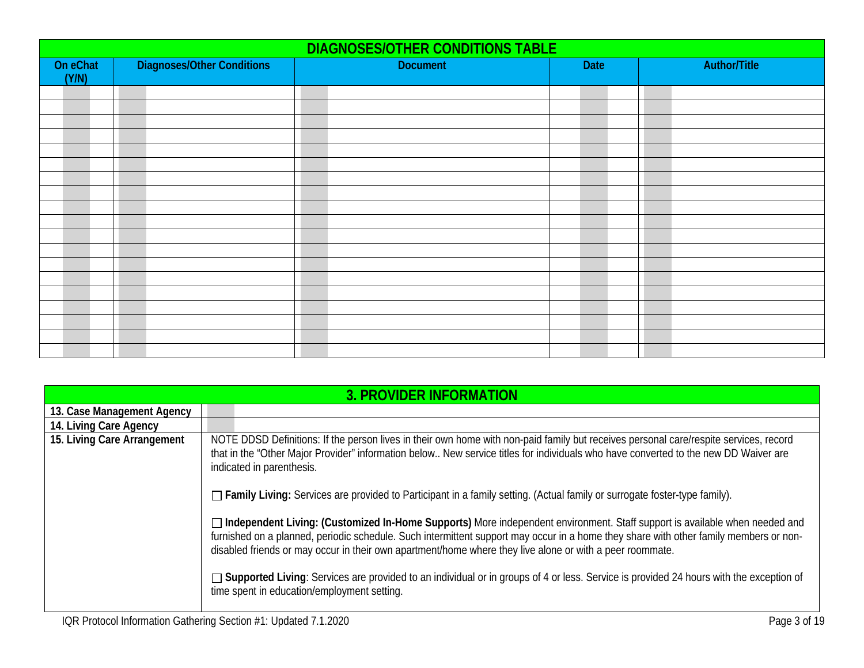|                   | <b>DIAGNOSES/OTHER CONDITIONS TABLE</b> |                 |      |                     |  |  |  |  |  |
|-------------------|-----------------------------------------|-----------------|------|---------------------|--|--|--|--|--|
| On eChat<br>(Y/N) | <b>Diagnoses/Other Conditions</b>       | <b>Document</b> | Date | <b>Author/Title</b> |  |  |  |  |  |
|                   |                                         |                 |      |                     |  |  |  |  |  |
|                   |                                         |                 |      |                     |  |  |  |  |  |
|                   |                                         |                 |      |                     |  |  |  |  |  |
|                   |                                         |                 |      |                     |  |  |  |  |  |
|                   |                                         |                 |      |                     |  |  |  |  |  |
|                   |                                         |                 |      |                     |  |  |  |  |  |
|                   |                                         |                 |      |                     |  |  |  |  |  |
|                   |                                         |                 |      |                     |  |  |  |  |  |
|                   |                                         |                 |      |                     |  |  |  |  |  |
|                   |                                         |                 |      |                     |  |  |  |  |  |
|                   |                                         |                 |      |                     |  |  |  |  |  |
|                   |                                         |                 |      |                     |  |  |  |  |  |
|                   |                                         |                 |      |                     |  |  |  |  |  |
|                   |                                         |                 |      |                     |  |  |  |  |  |
|                   |                                         |                 |      |                     |  |  |  |  |  |
|                   |                                         |                 |      |                     |  |  |  |  |  |
|                   |                                         |                 |      |                     |  |  |  |  |  |
|                   |                                         |                 |      |                     |  |  |  |  |  |
|                   |                                         |                 |      |                     |  |  |  |  |  |

<span id="page-2-0"></span>

|                             | <b>3. PROVIDER INFORMATION</b>                                                                                                                                                                                                                                                                                                                                                    |
|-----------------------------|-----------------------------------------------------------------------------------------------------------------------------------------------------------------------------------------------------------------------------------------------------------------------------------------------------------------------------------------------------------------------------------|
| 13. Case Management Agency  |                                                                                                                                                                                                                                                                                                                                                                                   |
| 14. Living Care Agency      |                                                                                                                                                                                                                                                                                                                                                                                   |
| 15. Living Care Arrangement | NOTE DDSD Definitions: If the person lives in their own home with non-paid family but receives personal care/respite services, record<br>that in the "Other Major Provider" information below New service titles for individuals who have converted to the new DD Waiver are<br>indicated in parenthesis.                                                                         |
|                             | $\Box$ Family Living: Services are provided to Participant in a family setting. (Actual family or surrogate foster-type family).                                                                                                                                                                                                                                                  |
|                             | □ Independent Living: (Customized In-Home Supports) More independent environment. Staff support is available when needed and<br>furnished on a planned, periodic schedule. Such intermittent support may occur in a home they share with other family members or non-<br>disabled friends or may occur in their own apartment/home where they live alone or with a peer roommate. |
|                             | □ Supported Living: Services are provided to an individual or in groups of 4 or less. Service is provided 24 hours with the exception of<br>time spent in education/employment setting.                                                                                                                                                                                           |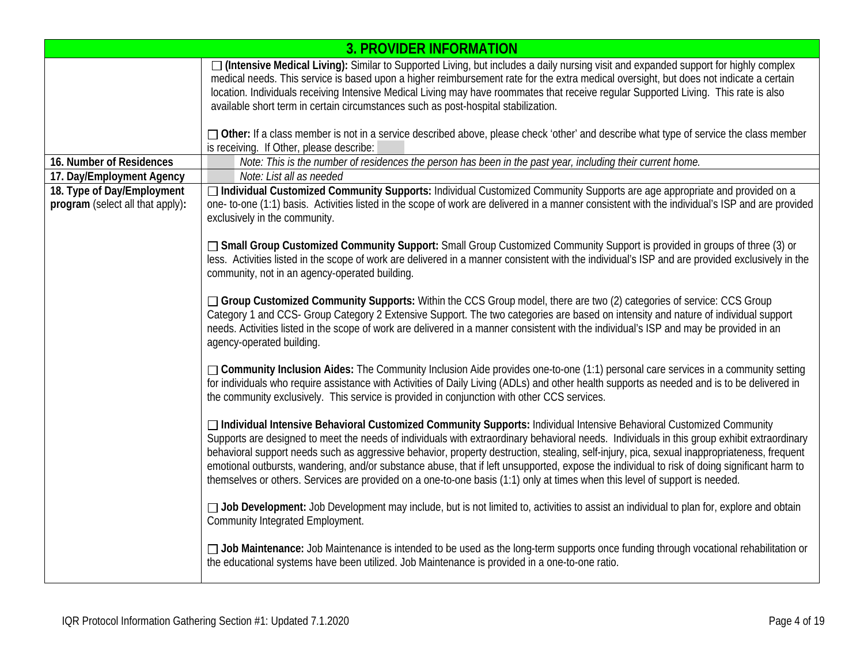|                                                                | <b>3. PROVIDER INFORMATION</b>                                                                                                                                                                                                                                                                                                                                                                                                                                                                                                                                                                                                                                                                     |
|----------------------------------------------------------------|----------------------------------------------------------------------------------------------------------------------------------------------------------------------------------------------------------------------------------------------------------------------------------------------------------------------------------------------------------------------------------------------------------------------------------------------------------------------------------------------------------------------------------------------------------------------------------------------------------------------------------------------------------------------------------------------------|
|                                                                | □ (Intensive Medical Living): Similar to Supported Living, but includes a daily nursing visit and expanded support for highly complex<br>medical needs. This service is based upon a higher reimbursement rate for the extra medical oversight, but does not indicate a certain<br>location. Individuals receiving Intensive Medical Living may have roommates that receive regular Supported Living. This rate is also<br>available short term in certain circumstances such as post-hospital stabilization.                                                                                                                                                                                      |
|                                                                | □ Other: If a class member is not in a service described above, please check 'other' and describe what type of service the class member<br>is receiving. If Other, please describe:                                                                                                                                                                                                                                                                                                                                                                                                                                                                                                                |
| 16. Number of Residences                                       | Note: This is the number of residences the person has been in the past year, including their current home.                                                                                                                                                                                                                                                                                                                                                                                                                                                                                                                                                                                         |
| 17. Day/Employment Agency                                      | Note: List all as needed                                                                                                                                                                                                                                                                                                                                                                                                                                                                                                                                                                                                                                                                           |
| 18. Type of Day/Employment<br>program (select all that apply): | □ Individual Customized Community Supports: Individual Customized Community Supports are age appropriate and provided on a<br>one- to-one (1:1) basis. Activities listed in the scope of work are delivered in a manner consistent with the individual's ISP and are provided<br>exclusively in the community.                                                                                                                                                                                                                                                                                                                                                                                     |
|                                                                | □ Small Group Customized Community Support: Small Group Customized Community Support is provided in groups of three (3) or<br>less. Activities listed in the scope of work are delivered in a manner consistent with the individual's ISP and are provided exclusively in the<br>community, not in an agency-operated building.                                                                                                                                                                                                                                                                                                                                                                    |
|                                                                | □ Group Customized Community Supports: Within the CCS Group model, there are two (2) categories of service: CCS Group<br>Category 1 and CCS- Group Category 2 Extensive Support. The two categories are based on intensity and nature of individual support<br>needs. Activities listed in the scope of work are delivered in a manner consistent with the individual's ISP and may be provided in an<br>agency-operated building.                                                                                                                                                                                                                                                                 |
|                                                                | □ Community Inclusion Aides: The Community Inclusion Aide provides one-to-one (1:1) personal care services in a community setting<br>for individuals who require assistance with Activities of Daily Living (ADLs) and other health supports as needed and is to be delivered in<br>the community exclusively. This service is provided in conjunction with other CCS services.                                                                                                                                                                                                                                                                                                                    |
|                                                                | □ Individual Intensive Behavioral Customized Community Supports: Individual Intensive Behavioral Customized Community<br>Supports are designed to meet the needs of individuals with extraordinary behavioral needs. Individuals in this group exhibit extraordinary<br>behavioral support needs such as aggressive behavior, property destruction, stealing, self-injury, pica, sexual inappropriateness, frequent<br>emotional outbursts, wandering, and/or substance abuse, that if left unsupported, expose the individual to risk of doing significant harm to<br>themselves or others. Services are provided on a one-to-one basis (1:1) only at times when this level of support is needed. |
|                                                                | □ Job Development: Job Development may include, but is not limited to, activities to assist an individual to plan for, explore and obtain<br>Community Integrated Employment.                                                                                                                                                                                                                                                                                                                                                                                                                                                                                                                      |
|                                                                | □ Job Maintenance: Job Maintenance is intended to be used as the long-term supports once funding through vocational rehabilitation or<br>the educational systems have been utilized. Job Maintenance is provided in a one-to-one ratio.                                                                                                                                                                                                                                                                                                                                                                                                                                                            |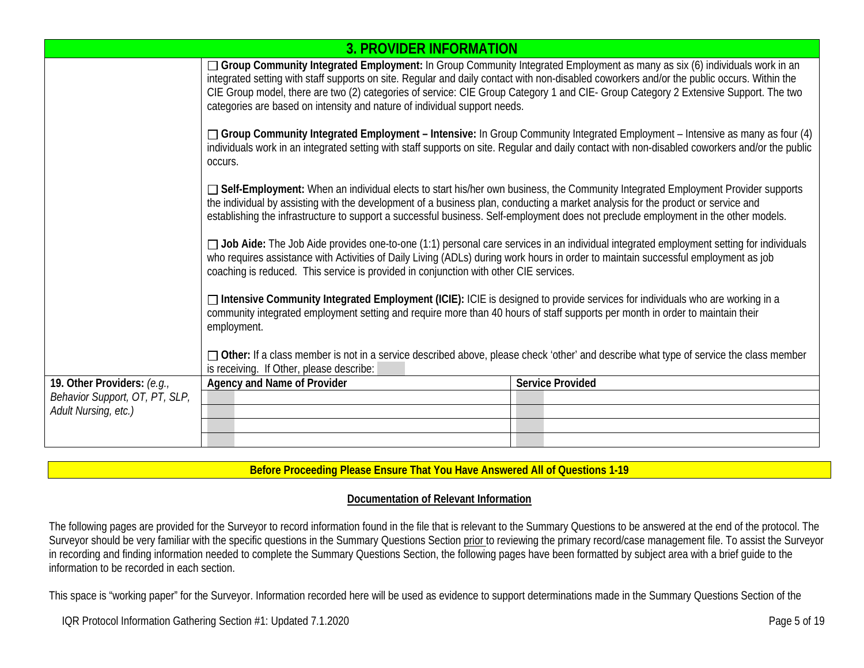|                                | <b>3. PROVIDER INFORMATION</b>                                                                                                                                                                                                                                                                                                                                                                                                                                                                |                         |  |  |  |  |  |
|--------------------------------|-----------------------------------------------------------------------------------------------------------------------------------------------------------------------------------------------------------------------------------------------------------------------------------------------------------------------------------------------------------------------------------------------------------------------------------------------------------------------------------------------|-------------------------|--|--|--|--|--|
|                                | □ Group Community Integrated Employment: In Group Community Integrated Employment as many as six (6) individuals work in an<br>integrated setting with staff supports on site. Regular and daily contact with non-disabled coworkers and/or the public occurs. Within the<br>CIE Group model, there are two (2) categories of service: CIE Group Category 1 and CIE- Group Category 2 Extensive Support. The two<br>categories are based on intensity and nature of individual support needs. |                         |  |  |  |  |  |
|                                | □ Group Community Integrated Employment – Intensive: In Group Community Integrated Employment – Intensive as many as four (4)<br>individuals work in an integrated setting with staff supports on site. Regular and daily contact with non-disabled coworkers and/or the public<br>occurs.                                                                                                                                                                                                    |                         |  |  |  |  |  |
|                                | □ Self-Employment: When an individual elects to start his/her own business, the Community Integrated Employment Provider supports<br>the individual by assisting with the development of a business plan, conducting a market analysis for the product or service and<br>establishing the infrastructure to support a successful business. Self-employment does not preclude employment in the other models.                                                                                  |                         |  |  |  |  |  |
|                                | □ Job Aide: The Job Aide provides one-to-one (1:1) personal care services in an individual integrated employment setting for individuals<br>who requires assistance with Activities of Daily Living (ADLs) during work hours in order to maintain successful employment as job<br>coaching is reduced. This service is provided in conjunction with other CIE services.                                                                                                                       |                         |  |  |  |  |  |
|                                | □ Intensive Community Integrated Employment (ICIE): ICIE is designed to provide services for individuals who are working in a<br>community integrated employment setting and require more than 40 hours of staff supports per month in order to maintain their<br>employment.<br>□ Other: If a class member is not in a service described above, please check 'other' and describe what type of service the class member<br>is receiving. If Other, please describe:                          |                         |  |  |  |  |  |
|                                |                                                                                                                                                                                                                                                                                                                                                                                                                                                                                               |                         |  |  |  |  |  |
| 19. Other Providers: (e.g.,    | Agency and Name of Provider                                                                                                                                                                                                                                                                                                                                                                                                                                                                   | <b>Service Provided</b> |  |  |  |  |  |
| Behavior Support, OT, PT, SLP, |                                                                                                                                                                                                                                                                                                                                                                                                                                                                                               |                         |  |  |  |  |  |
| Adult Nursing, etc.)           |                                                                                                                                                                                                                                                                                                                                                                                                                                                                                               |                         |  |  |  |  |  |
|                                |                                                                                                                                                                                                                                                                                                                                                                                                                                                                                               |                         |  |  |  |  |  |
|                                |                                                                                                                                                                                                                                                                                                                                                                                                                                                                                               |                         |  |  |  |  |  |

## **Before Proceeding Please Ensure That You Have Answered All of Questions 1-19**

#### **Documentation of Relevant Information**

The following pages are provided for the Surveyor to record information found in the file that is relevant to the Summary Questions to be answered at the end of the protocol. The Surveyor should be very familiar with the specific questions in the Summary Questions Section prior to reviewing the primary record/case management file. To assist the Surveyor in recording and finding information needed to complete the Summary Questions Section, the following pages have been formatted by subject area with a brief guide to the information to be recorded in each section.

This space is "working paper" for the Surveyor. Information recorded here will be used as evidence to support determinations made in the Summary Questions Section of the

IQR Protocol Information Gathering Section #1: Updated 7.1.2020 Page 5 of 19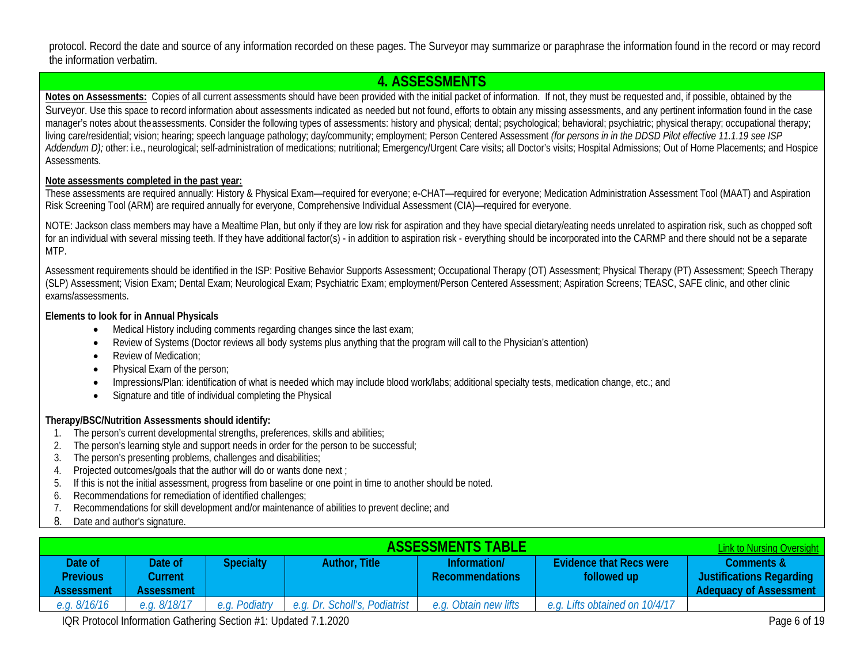protocol. Record the date and source of any information recorded on these pages. The Surveyor may summarize or paraphrase the information found in the record or may record the information verbatim.

## <span id="page-5-0"></span>**4. ASSESSMENTS**

Notes on Assessments: Copies of all current assessments should have been provided with the initial packet of information. If not, they must be requested and, if possible, obtained by the Surveyor. Use this space to record information about assessments indicated as needed but not found, efforts to obtain any missing assessments, and any pertinent information found in the case manager's notes about the assessments. Consider the following types of assessments: history and physical; dental; psychological; behavioral; psychiatric; physical therapy; occupational therapy; living care/residential; vision; hearing; speech language pathology; day/community; employment; Person Centered Assessment *(for persons in in the DDSD Pilot effective 11.1.19 see ISP*  Addendum D); other: i.e., neurological; self-administration of medications; nutritional; Emergency/Urgent Care visits; all Doctor's visits; Hospital Admissions; Out of Home Placements; and Hospice Assessments.

#### **Note assessments completed in the past year:**

These assessments are required annually: History & Physical Exam—required for everyone; e-CHAT—required for everyone; Medication Administration Assessment Tool (MAAT) and Aspiration Risk Screening Tool (ARM) are required annually for everyone, Comprehensive Individual Assessment (CIA)—required for everyone.

NOTE: Jackson class members may have a Mealtime Plan, but only if they are low risk for aspiration and they have special dietary/eating needs unrelated to aspiration risk, such as chopped soft for an individual with several missing teeth. If they have additional factor(s) - in addition to aspiration risk - everything should be incorporated into the CARMP and there should not be a separate MTP.

Assessment requirements should be identified in the ISP: Positive Behavior Supports Assessment; Occupational Therapy (OT) Assessment; Physical Therapy (PT) Assessment; Speech Therapy (SLP) Assessment; Vision Exam; Dental Exam; Neurological Exam; Psychiatric Exam; employment/Person Centered Assessment; Aspiration Screens; TEASC, SAFE clinic, and other clinic exams/assessments.

#### **Elements to look for in Annual Physicals**

- Medical History including comments regarding changes since the last exam;
- Review of Systems (Doctor reviews all body systems plus anything that the program will call to the Physician's attention)
- Review of Medication:
- Physical Exam of the person;
- Impressions/Plan: identification of what is needed which may include blood work/labs; additional specialty tests, medication change, etc.; and
- Signature and title of individual completing the Physical

### **Therapy/BSC/Nutrition Assessments should identify:**

- 1. The person's current developmental strengths, preferences, skills and abilities;
- 2. The person's learning style and support needs in order for the person to be successful;
- 3. The person's presenting problems, challenges and disabilities;
- 4. Projected outcomes/goals that the author will do or wants done next ;
- 5. If this is not the initial assessment, progress from baseline or one point in time to another should be noted.
- 6. Recommendations for remediation of identified challenges;
- 7. Recommendations for skill development and/or maintenance of abilities to prevent decline; and
- 8. Date and author's signature.

<span id="page-5-1"></span>

| <b>ASSESSMENTS TABLE</b><br><b>Link to Nursing Oversight</b> |                                  |                  |                               |                                        |                                               |                                                                         |  |
|--------------------------------------------------------------|----------------------------------|------------------|-------------------------------|----------------------------------------|-----------------------------------------------|-------------------------------------------------------------------------|--|
| Date of<br><b>Previous</b><br><b>Assessment</b>              | Date of<br>Current<br>Assessment | <b>Specialty</b> | Author, Title                 | Information/<br><b>Recommendations</b> | <b>Evidence that Recs were</b><br>followed up | Comments &<br><b>Justifications Regarding</b><br>Adequacy of Assessment |  |
| e.g. $8/16/16$                                               | e.g. 8/18/17                     | e.g. Podiatry    | e.g. Dr. Scholl's, Podiatrist | e.g. Obtain new lifts                  | e.g. Lifts obtained on 10/4/17                |                                                                         |  |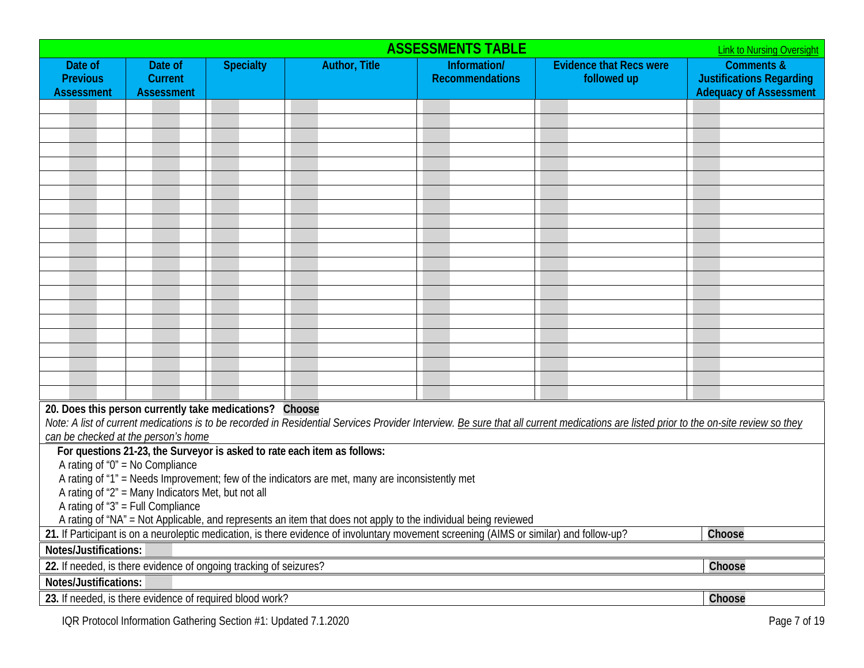| <b>ASSESSMENTS TABLE</b><br><b>Link to Nursing Oversight</b>                                                                                        |                                                                                                                                                                                                                                                                                         |                  |                                                                          |                                        |                                               |                                                                                           |  |
|-----------------------------------------------------------------------------------------------------------------------------------------------------|-----------------------------------------------------------------------------------------------------------------------------------------------------------------------------------------------------------------------------------------------------------------------------------------|------------------|--------------------------------------------------------------------------|----------------------------------------|-----------------------------------------------|-------------------------------------------------------------------------------------------|--|
| Date of<br><b>Previous</b><br><b>Assessment</b>                                                                                                     | Date of<br>Current<br><b>Assessment</b>                                                                                                                                                                                                                                                 | <b>Specialty</b> | <b>Author, Title</b>                                                     | Information/<br><b>Recommendations</b> | <b>Evidence that Recs were</b><br>followed up | <b>Comments &amp;</b><br><b>Justifications Regarding</b><br><b>Adequacy of Assessment</b> |  |
|                                                                                                                                                     |                                                                                                                                                                                                                                                                                         |                  |                                                                          |                                        |                                               |                                                                                           |  |
|                                                                                                                                                     |                                                                                                                                                                                                                                                                                         |                  |                                                                          |                                        |                                               |                                                                                           |  |
|                                                                                                                                                     |                                                                                                                                                                                                                                                                                         |                  |                                                                          |                                        |                                               |                                                                                           |  |
|                                                                                                                                                     |                                                                                                                                                                                                                                                                                         |                  |                                                                          |                                        |                                               |                                                                                           |  |
|                                                                                                                                                     |                                                                                                                                                                                                                                                                                         |                  |                                                                          |                                        |                                               |                                                                                           |  |
|                                                                                                                                                     |                                                                                                                                                                                                                                                                                         |                  |                                                                          |                                        |                                               |                                                                                           |  |
|                                                                                                                                                     |                                                                                                                                                                                                                                                                                         |                  |                                                                          |                                        |                                               |                                                                                           |  |
|                                                                                                                                                     |                                                                                                                                                                                                                                                                                         |                  |                                                                          |                                        |                                               |                                                                                           |  |
|                                                                                                                                                     |                                                                                                                                                                                                                                                                                         |                  |                                                                          |                                        |                                               |                                                                                           |  |
|                                                                                                                                                     |                                                                                                                                                                                                                                                                                         |                  |                                                                          |                                        |                                               |                                                                                           |  |
|                                                                                                                                                     |                                                                                                                                                                                                                                                                                         |                  |                                                                          |                                        |                                               |                                                                                           |  |
|                                                                                                                                                     |                                                                                                                                                                                                                                                                                         |                  |                                                                          |                                        |                                               |                                                                                           |  |
|                                                                                                                                                     |                                                                                                                                                                                                                                                                                         |                  |                                                                          |                                        |                                               |                                                                                           |  |
|                                                                                                                                                     |                                                                                                                                                                                                                                                                                         |                  |                                                                          |                                        |                                               |                                                                                           |  |
|                                                                                                                                                     |                                                                                                                                                                                                                                                                                         |                  |                                                                          |                                        |                                               |                                                                                           |  |
|                                                                                                                                                     |                                                                                                                                                                                                                                                                                         |                  |                                                                          |                                        |                                               |                                                                                           |  |
|                                                                                                                                                     |                                                                                                                                                                                                                                                                                         |                  |                                                                          |                                        |                                               |                                                                                           |  |
|                                                                                                                                                     |                                                                                                                                                                                                                                                                                         |                  |                                                                          |                                        |                                               |                                                                                           |  |
|                                                                                                                                                     | 20. Does this person currently take medications? Choose<br>Note: A list of current medications is to be recorded in Residential Services Provider Interview. Be sure that all current medications are listed prior to the on-site review so they<br>can be checked at the person's home |                  |                                                                          |                                        |                                               |                                                                                           |  |
|                                                                                                                                                     | A rating of " $0$ " = No Compliance                                                                                                                                                                                                                                                     |                  | For questions 21-23, the Surveyor is asked to rate each item as follows: |                                        |                                               |                                                                                           |  |
|                                                                                                                                                     | A rating of "1" = Needs Improvement; few of the indicators are met, many are inconsistently met                                                                                                                                                                                         |                  |                                                                          |                                        |                                               |                                                                                           |  |
| A rating of "2" = Many Indicators Met, but not all                                                                                                  |                                                                                                                                                                                                                                                                                         |                  |                                                                          |                                        |                                               |                                                                                           |  |
| A rating of "3" = Full Compliance<br>A rating of "NA" = Not Applicable, and represents an item that does not apply to the individual being reviewed |                                                                                                                                                                                                                                                                                         |                  |                                                                          |                                        |                                               |                                                                                           |  |
|                                                                                                                                                     | 21. If Participant is on a neuroleptic medication, is there evidence of involuntary movement screening (AIMS or similar) and follow-up?<br>Choose                                                                                                                                       |                  |                                                                          |                                        |                                               |                                                                                           |  |
| Notes/Justifications:                                                                                                                               |                                                                                                                                                                                                                                                                                         |                  |                                                                          |                                        |                                               |                                                                                           |  |
|                                                                                                                                                     | 22. If needed, is there evidence of ongoing tracking of seizures?<br>Choose                                                                                                                                                                                                             |                  |                                                                          |                                        |                                               |                                                                                           |  |
| Notes/Justifications:                                                                                                                               |                                                                                                                                                                                                                                                                                         |                  |                                                                          |                                        |                                               |                                                                                           |  |
|                                                                                                                                                     | 23. If needed, is there evidence of required blood work?                                                                                                                                                                                                                                |                  |                                                                          |                                        |                                               | Choose                                                                                    |  |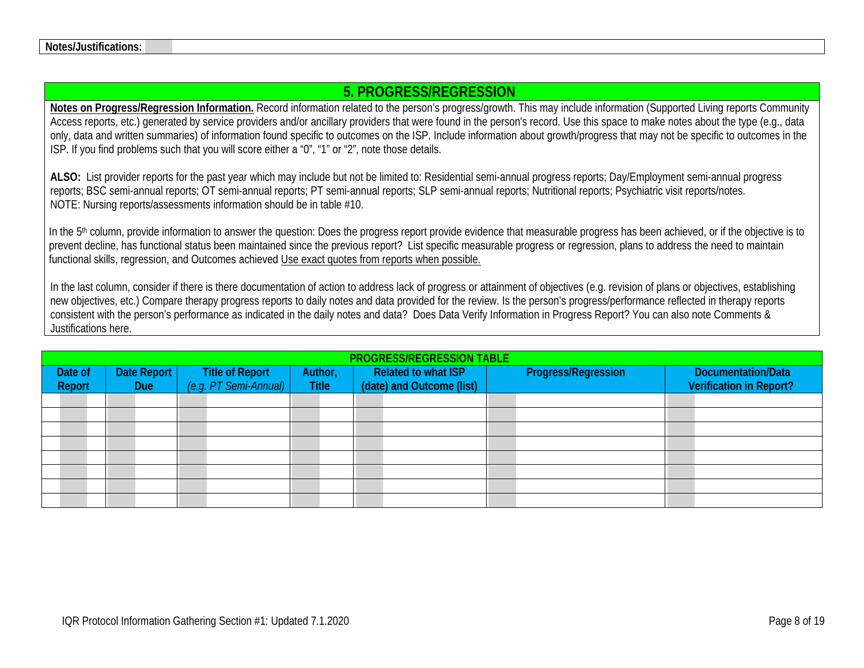# <span id="page-7-0"></span>**5. PROGRESS/REGRESSION**

**Notes on Progress/Regression Information.** Record information related to the person's progress/growth. This may include information (Supported Living reports Community Access reports, etc.) generated by service providers and/or ancillary providers that were found in the person's record. Use this space to make notes about the type (e.g., data only, data and written summaries) of information found specific to outcomes on the ISP. Include information about growth/progress that may not be specific to outcomes in the ISP. If you find problems such that you will score either a "0", "1" or "2", note those details.

**ALSO:** List provider reports for the past year which may include but not be limited to: Residential semi-annual progress reports; Day/Employment semi-annual progress reports; BSC semi-annual reports; OT semi-annual reports; PT semi-annual reports; SLP semi-annual reports; Nutritional reports; Psychiatric visit reports/notes. NOTE: Nursing reports/assessments information should be in table #10.

In the 5<sup>th</sup> column, provide information to answer the question: Does the progress report provide evidence that measurable progress has been achieved, or if the objective is to prevent decline, has functional status been maintained since the previous report? List specific measurable progress or regression, plans to address the need to maintain functional skills, regression, and Outcomes achieved Use exact quotes from reports when possible.

In the last column, consider if there is there documentation of action to address lack of progress or attainment of objectives (e.g. revision of plans or objectives, establishing new objectives, etc.) Compare therapy progress reports to daily notes and data provided for the review. Is the person's progress/performance reflected in therapy reports consistent with the person's performance as indicated in the daily notes and data? Does Data Verify Information in Progress Report? You can also note Comments & Justifications here.

|         | <b>PROGRESS/REGRESSION TABLE</b> |                                                 |              |                            |                            |                                |  |  |  |  |
|---------|----------------------------------|-------------------------------------------------|--------------|----------------------------|----------------------------|--------------------------------|--|--|--|--|
| Date of | Date Report                      | <b>Title of Report</b><br>(e.g. PT Semi-Annual) | Author,      | <b>Related to what ISP</b> | <b>Progress/Regression</b> | <b>Documentation/Data</b>      |  |  |  |  |
| Report  | <b>Due</b>                       |                                                 | <b>Title</b> | (date) and Outcome (list)  |                            | <b>Verification in Report?</b> |  |  |  |  |
|         |                                  |                                                 |              |                            |                            |                                |  |  |  |  |
|         |                                  |                                                 |              |                            |                            |                                |  |  |  |  |
|         |                                  |                                                 |              |                            |                            |                                |  |  |  |  |
|         |                                  |                                                 |              |                            |                            |                                |  |  |  |  |
|         |                                  |                                                 |              |                            |                            |                                |  |  |  |  |
|         |                                  |                                                 |              |                            |                            |                                |  |  |  |  |
|         |                                  |                                                 |              |                            |                            |                                |  |  |  |  |
|         |                                  |                                                 |              |                            |                            |                                |  |  |  |  |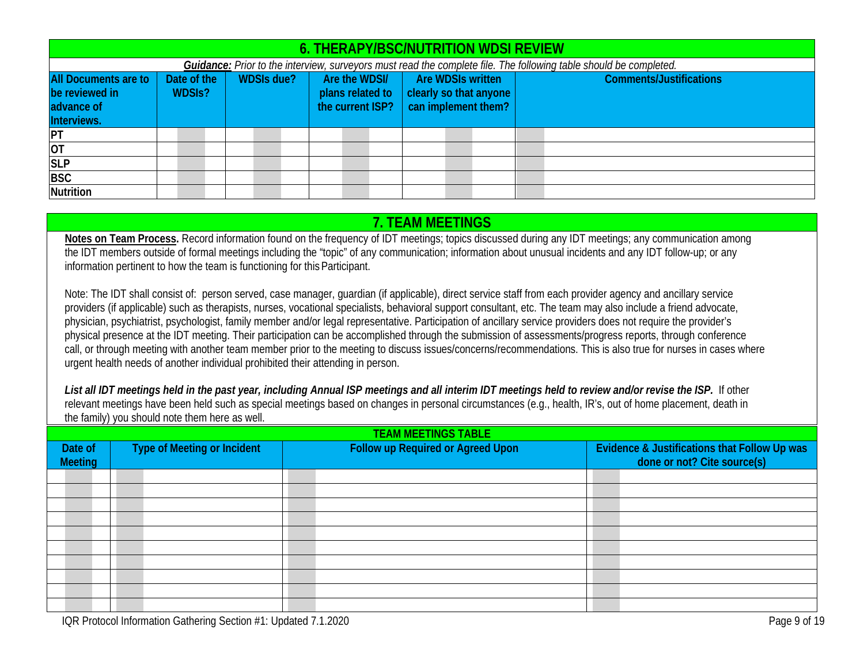| <b>6. THERAPY/BSC/NUTRITION WDSI REVIEW</b> |                                                                                                                   |                   |  |                  |                  |                   |  |                        |                                |
|---------------------------------------------|-------------------------------------------------------------------------------------------------------------------|-------------------|--|------------------|------------------|-------------------|--|------------------------|--------------------------------|
|                                             | Guidance: Prior to the interview, surveyors must read the complete file. The following table should be completed. |                   |  |                  |                  |                   |  |                        |                                |
| All Documents are to                        | Date of the                                                                                                       | <b>WDSIs due?</b> |  | Are the WDSI/    |                  | Are WDSIs written |  |                        | <b>Comments/Justifications</b> |
| be reviewed in                              | <b>WDSIS?</b>                                                                                                     |                   |  | plans related to |                  |                   |  | clearly so that anyone |                                |
| advance of                                  |                                                                                                                   |                   |  |                  | the current ISP? |                   |  | can implement them?    |                                |
| Interviews.                                 |                                                                                                                   |                   |  |                  |                  |                   |  |                        |                                |
| <b>IPT</b>                                  |                                                                                                                   |                   |  |                  |                  |                   |  |                        |                                |
| <b>OT</b>                                   |                                                                                                                   |                   |  |                  |                  |                   |  |                        |                                |
| <b>SLP</b>                                  |                                                                                                                   |                   |  |                  |                  |                   |  |                        |                                |
| <b>BSC</b>                                  |                                                                                                                   |                   |  |                  |                  |                   |  |                        |                                |
| Nutrition                                   |                                                                                                                   |                   |  |                  |                  |                   |  |                        |                                |

## <span id="page-8-1"></span><span id="page-8-0"></span>**7. TEAM MEETINGS**

**Notes on Team Process.** Record information found on the frequency of IDT meetings; topics discussed during any IDT meetings; any communication among the IDT members outside of formal meetings including the "topic" of any communication; information about unusual incidents and any IDT follow-up; or any information pertinent to how the team is functioning for this Participant.

Note: The IDT shall consist of: person served, case manager, guardian (if applicable), direct service staff from each provider agency and ancillary service providers (if applicable) such as therapists, nurses, vocational specialists, behavioral support consultant, etc. The team may also include a friend advocate, physician, psychiatrist, psychologist, family member and/or legal representative. Participation of ancillary service providers does not require the provider's physical presence at the IDT meeting. Their participation can be accomplished through the submission of assessments/progress reports, through conference call, or through meeting with another team member prior to the meeting to discuss issues/concerns/recommendations. This is also true for nurses in cases where urgent health needs of another individual prohibited their attending in person.

*List all IDT meetings held in the past year, including Annual ISP meetings and all interim IDT meetings held to review and/or revise the ISP.* If other relevant meetings have been held such as special meetings based on changes in personal circumstances (e.g., health, IR's, out of home placement, death in the family) you should note them here as well.

| <b>TEAM MEETINGS TABLE</b> |                                    |                                   |                                                                                        |  |  |  |  |  |
|----------------------------|------------------------------------|-----------------------------------|----------------------------------------------------------------------------------------|--|--|--|--|--|
| Date of<br><b>Meeting</b>  | <b>Type of Meeting or Incident</b> | Follow up Required or Agreed Upon | <b>Evidence &amp; Justifications that Follow Up was</b><br>done or not? Cite source(s) |  |  |  |  |  |
|                            |                                    |                                   |                                                                                        |  |  |  |  |  |
|                            |                                    |                                   |                                                                                        |  |  |  |  |  |
|                            |                                    |                                   |                                                                                        |  |  |  |  |  |
|                            |                                    |                                   |                                                                                        |  |  |  |  |  |
|                            |                                    |                                   |                                                                                        |  |  |  |  |  |
|                            |                                    |                                   |                                                                                        |  |  |  |  |  |
|                            |                                    |                                   |                                                                                        |  |  |  |  |  |
|                            |                                    |                                   |                                                                                        |  |  |  |  |  |
|                            |                                    |                                   |                                                                                        |  |  |  |  |  |
|                            |                                    |                                   |                                                                                        |  |  |  |  |  |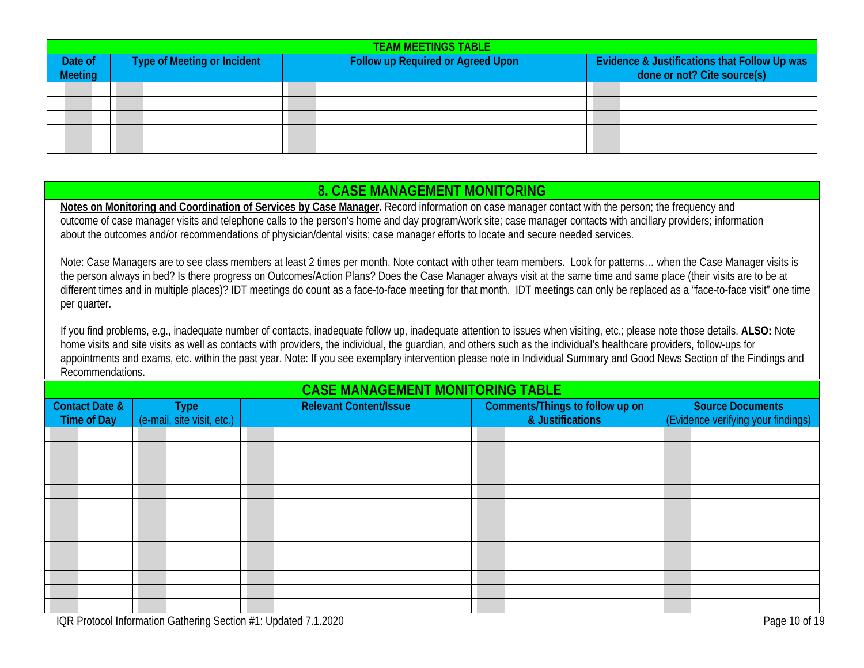|                           | <b>TEAM MEETINGS TABLE</b>  |  |                                   |  |                                                                                        |  |  |  |  |  |
|---------------------------|-----------------------------|--|-----------------------------------|--|----------------------------------------------------------------------------------------|--|--|--|--|--|
| Date of<br><b>Meeting</b> | Type of Meeting or Incident |  | Follow up Required or Agreed Upon |  | <b>Evidence &amp; Justifications that Follow Up was</b><br>done or not? Cite source(s) |  |  |  |  |  |
|                           |                             |  |                                   |  |                                                                                        |  |  |  |  |  |
|                           |                             |  |                                   |  |                                                                                        |  |  |  |  |  |
|                           |                             |  |                                   |  |                                                                                        |  |  |  |  |  |
|                           |                             |  |                                   |  |                                                                                        |  |  |  |  |  |
|                           |                             |  |                                   |  |                                                                                        |  |  |  |  |  |

# <span id="page-9-0"></span>**8. CASE MANAGEMENT MONITORING**

**Notes on Monitoring and Coordination of Services by Case Manager.** Record information on case manager contact with the person; the frequency and outcome of case manager visits and telephone calls to the person's home and day program/work site; case manager contacts with ancillary providers; information about the outcomes and/or recommendations of physician/dental visits; case manager efforts to locate and secure needed services.

Note: Case Managers are to see class members at least 2 times per month. Note contact with other team members. Look for patterns… when the Case Manager visits is the person always in bed? Is there progress on Outcomes/Action Plans? Does the Case Manager always visit at the same time and same place (their visits are to be at different times and in multiple places)? IDT meetings do count as a face-to-face meeting for that month. IDT meetings can only be replaced as a "face-to-face visit" one time per quarter.

If you find problems, e.g., inadequate number of contacts, inadequate follow up, inadequate attention to issues when visiting, etc.; please note those details. **ALSO:** Note home visits and site visits as well as contacts with providers, the individual, the guardian, and others such as the individual's healthcare providers, follow-ups for appointments and exams, etc. within the past year. Note: If you see exemplary intervention please note in Individual Summary and Good News Section of the Findings and Recommendations.

## **CASE MANAGEMENT MONITORING TABLE**

| <b>Contact Date &amp;</b><br><b>Time of Day</b> | <b>Relevant Content/Issue</b><br>Comments/Things to follow up on<br><b>Type</b><br>(e-mail, site visit, etc.)<br>& Justifications |  |  |  |  | <b>Source Documents</b><br>(Evidence verifying your findings) |
|-------------------------------------------------|-----------------------------------------------------------------------------------------------------------------------------------|--|--|--|--|---------------------------------------------------------------|
|                                                 |                                                                                                                                   |  |  |  |  |                                                               |
|                                                 |                                                                                                                                   |  |  |  |  |                                                               |
|                                                 |                                                                                                                                   |  |  |  |  |                                                               |
|                                                 |                                                                                                                                   |  |  |  |  |                                                               |
|                                                 |                                                                                                                                   |  |  |  |  |                                                               |
|                                                 |                                                                                                                                   |  |  |  |  |                                                               |
|                                                 |                                                                                                                                   |  |  |  |  |                                                               |
|                                                 |                                                                                                                                   |  |  |  |  |                                                               |
|                                                 |                                                                                                                                   |  |  |  |  |                                                               |
|                                                 |                                                                                                                                   |  |  |  |  |                                                               |
|                                                 |                                                                                                                                   |  |  |  |  |                                                               |
|                                                 |                                                                                                                                   |  |  |  |  |                                                               |
|                                                 |                                                                                                                                   |  |  |  |  |                                                               |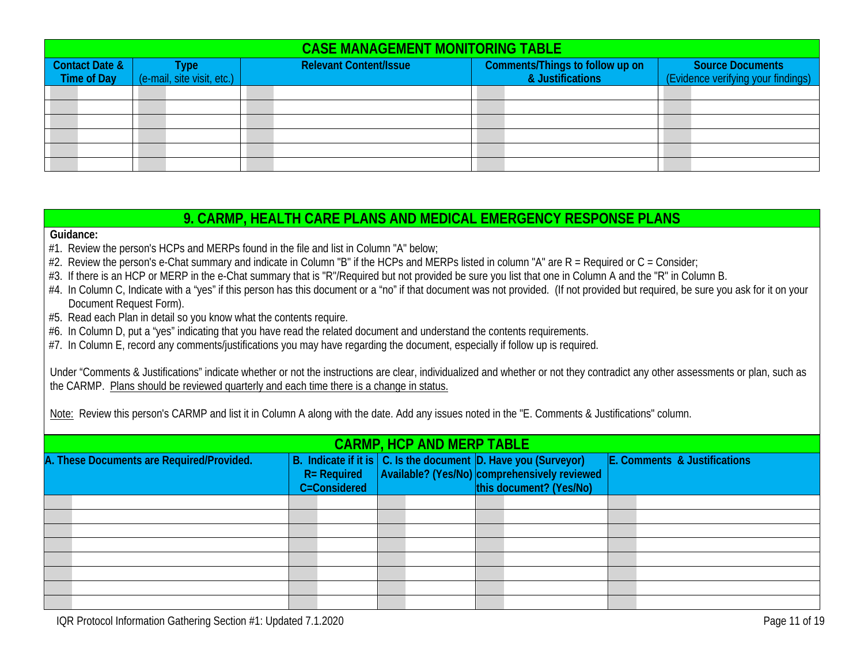|                                      | <b>CASE MANAGEMENT MONITORING TABLE</b> |                               |                                                     |                                                               |  |  |  |  |  |  |
|--------------------------------------|-----------------------------------------|-------------------------------|-----------------------------------------------------|---------------------------------------------------------------|--|--|--|--|--|--|
| Contact Date &<br><b>Time of Day</b> | Type<br>(e-mail, site visit, etc.)      | <b>Relevant Content/Issue</b> | Comments/Things to follow up on<br>& Justifications | <b>Source Documents</b><br>(Evidence verifying your findings) |  |  |  |  |  |  |
|                                      |                                         |                               |                                                     |                                                               |  |  |  |  |  |  |
|                                      |                                         |                               |                                                     |                                                               |  |  |  |  |  |  |
|                                      |                                         |                               |                                                     |                                                               |  |  |  |  |  |  |
|                                      |                                         |                               |                                                     |                                                               |  |  |  |  |  |  |
|                                      |                                         |                               |                                                     |                                                               |  |  |  |  |  |  |
|                                      |                                         |                               |                                                     |                                                               |  |  |  |  |  |  |

## <span id="page-10-0"></span>**9. CARMP, HEALTH CARE PLANS AND MEDICAL EMERGENCY RESPONSE PLANS**

**Guidance:** 

- #1. Review the person's HCPs and MERPs found in the file and list in Column "A" below;
- #2. Review the person's e-Chat summary and indicate in Column "B" if the HCPs and MERPs listed in column "A" are R = Required or C = Consider;
- #3. If there is an HCP or MERP in the e-Chat summary that is "R"/Required but not provided be sure you list that one in Column A and the "R" in Column B.
- #4. In Column C, Indicate with a "yes" if this person has this document or a "no" if that document was not provided. (If not provided but required, be sure you ask for it on your Document Request Form).
- #5. Read each Plan in detail so you know what the contents require.
- #6. In Column D, put a "yes" indicating that you have read the related document and understand the contents requirements.
- #7. In Column E, record any comments/justifications you may have regarding the document, especially if follow up is required.

Under "Comments & Justifications" indicate whether or not the instructions are clear, individualized and whether or not they contradict any other assessments or plan, such as the CARMP. Plans should be reviewed quarterly and each time there is a change in status.

Note: Review this person's CARMP and list it in Column A along with the date. Add any issues noted in the "E. Comments & Justifications" column.

| <b>CARMP, HCP AND MERP TABLE</b>          |  |                                |  |  |  |                                                                                                                                                |  |                              |  |
|-------------------------------------------|--|--------------------------------|--|--|--|------------------------------------------------------------------------------------------------------------------------------------------------|--|------------------------------|--|
| A. These Documents are Required/Provided. |  | $R = Required$<br>C=Considered |  |  |  | B. Indicate if it is $ C $ . Is the document D. Have you (Surveyor)<br>Available? (Yes/No) comprehensively reviewed<br>this document? (Yes/No) |  | E. Comments & Justifications |  |
|                                           |  |                                |  |  |  |                                                                                                                                                |  |                              |  |
|                                           |  |                                |  |  |  |                                                                                                                                                |  |                              |  |
|                                           |  |                                |  |  |  |                                                                                                                                                |  |                              |  |
|                                           |  |                                |  |  |  |                                                                                                                                                |  |                              |  |
|                                           |  |                                |  |  |  |                                                                                                                                                |  |                              |  |
|                                           |  |                                |  |  |  |                                                                                                                                                |  |                              |  |
|                                           |  |                                |  |  |  |                                                                                                                                                |  |                              |  |
|                                           |  |                                |  |  |  |                                                                                                                                                |  |                              |  |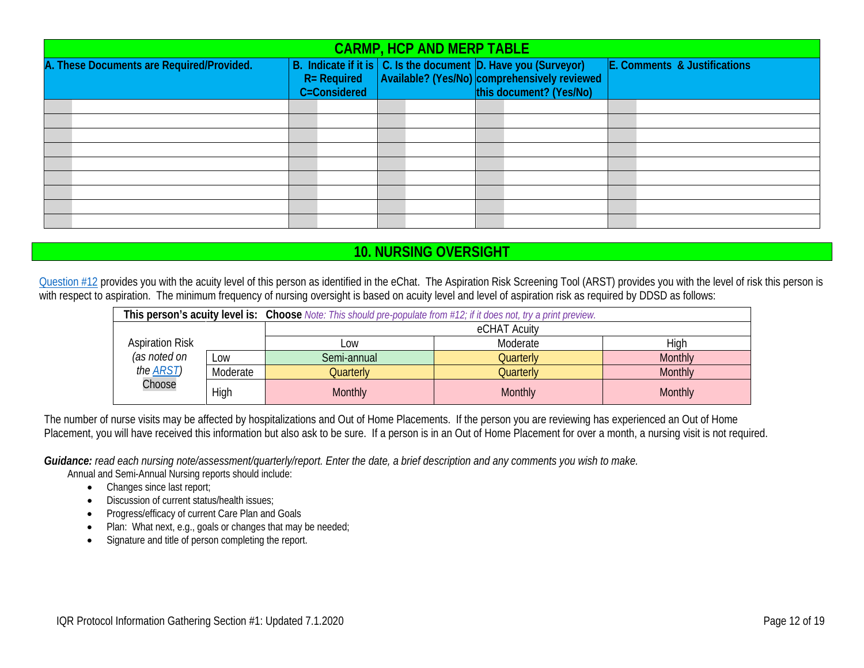| <b>CARMP, HCP AND MERP TABLE</b>          |                                |  |  |                                                                                                                                           |  |  |  |  |                              |
|-------------------------------------------|--------------------------------|--|--|-------------------------------------------------------------------------------------------------------------------------------------------|--|--|--|--|------------------------------|
| A. These Documents are Required/Provided. | $R = Required$<br>C=Considered |  |  | B. Indicate if it is C. Is the document D. Have you (Surveyor)<br>Available? (Yes/No) comprehensively reviewed<br>this document? (Yes/No) |  |  |  |  | E. Comments & Justifications |
|                                           |                                |  |  |                                                                                                                                           |  |  |  |  |                              |
|                                           |                                |  |  |                                                                                                                                           |  |  |  |  |                              |
|                                           |                                |  |  |                                                                                                                                           |  |  |  |  |                              |
|                                           |                                |  |  |                                                                                                                                           |  |  |  |  |                              |
|                                           |                                |  |  |                                                                                                                                           |  |  |  |  |                              |
|                                           |                                |  |  |                                                                                                                                           |  |  |  |  |                              |

# <span id="page-11-0"></span>**10. NURSING OVERSIGHT**

[Question #12](#page-1-2) provides you with the acuity level of this person as identified in the eChat. The Aspiration Risk Screening Tool (ARST) provides you with the level of risk this person is with respect to aspiration. The minimum frequency of nursing oversight is based on acuity level and level of aspiration risk as required by DDSD as follows:

| This person's acuity level is: Choose Note: This should pre-populate from #12; if it does not, try a print preview. |          |                  |                |                |  |  |  |
|---------------------------------------------------------------------------------------------------------------------|----------|------------------|----------------|----------------|--|--|--|
|                                                                                                                     |          | eCHAT Acuity     |                |                |  |  |  |
| <b>Aspiration Risk</b>                                                                                              |          | $-0W$            | Moderate       | High           |  |  |  |
| (as noted on                                                                                                        | LOW      | Semi-annual      | Quarterly      | <b>Monthly</b> |  |  |  |
| the <b>ARST</b> )                                                                                                   | Moderate | <b>Quarterly</b> | Quarterly      | Monthly        |  |  |  |
| Choose                                                                                                              | High     | <b>Monthly</b>   | <b>Monthly</b> | <b>Monthly</b> |  |  |  |

The number of nurse visits may be affected by hospitalizations and Out of Home Placements. If the person you are reviewing has experienced an Out of Home Placement, you will have received this information but also ask to be sure. If a person is in an Out of Home Placement for over a month, a nursing visit is not required.

*Guidance: read each nursing note/assessment/quarterly/report. Enter the date, a brief description and any comments you wish to make.*

Annual and Semi-Annual Nursing reports should include:

- Changes since last report;
- Discussion of current status/health issues:
- Progress/efficacy of current Care Plan and Goals
- Plan: What next, e.g., goals or changes that may be needed;
- Signature and title of person completing the report.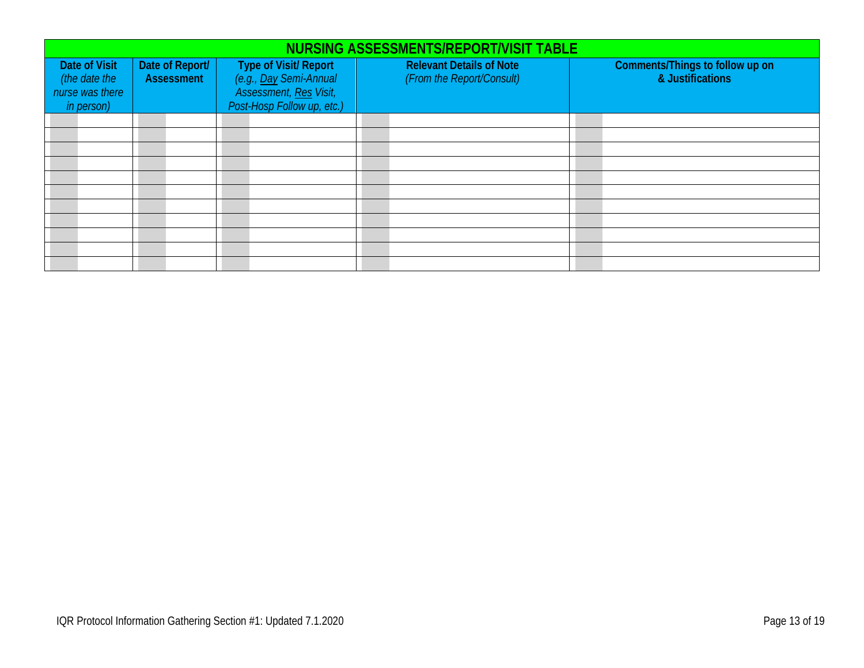|                                  | NURSING ASSESSMENTS/REPORT/VISIT TABLE |                                                 |                                 |                                                     |  |  |  |  |  |  |
|----------------------------------|----------------------------------------|-------------------------------------------------|---------------------------------|-----------------------------------------------------|--|--|--|--|--|--|
| <b>Date of Visit</b>             | Date of Report/<br><b>Assessment</b>   | Type of Visit/ Report<br>(e.g., Day Semi-Annual | <b>Relevant Details of Note</b> | Comments/Things to follow up on<br>& Justifications |  |  |  |  |  |  |
| (the date the<br>nurse was there |                                        | Assessment, Res Visit,                          | (From the Report/Consult)       |                                                     |  |  |  |  |  |  |
| in person)                       |                                        | Post-Hosp Follow up, etc.)                      |                                 |                                                     |  |  |  |  |  |  |
|                                  |                                        |                                                 |                                 |                                                     |  |  |  |  |  |  |
|                                  |                                        |                                                 |                                 |                                                     |  |  |  |  |  |  |
|                                  |                                        |                                                 |                                 |                                                     |  |  |  |  |  |  |
|                                  |                                        |                                                 |                                 |                                                     |  |  |  |  |  |  |
|                                  |                                        |                                                 |                                 |                                                     |  |  |  |  |  |  |
|                                  |                                        |                                                 |                                 |                                                     |  |  |  |  |  |  |
|                                  |                                        |                                                 |                                 |                                                     |  |  |  |  |  |  |
|                                  |                                        |                                                 |                                 |                                                     |  |  |  |  |  |  |
|                                  |                                        |                                                 |                                 |                                                     |  |  |  |  |  |  |
|                                  |                                        |                                                 |                                 |                                                     |  |  |  |  |  |  |
|                                  |                                        |                                                 |                                 |                                                     |  |  |  |  |  |  |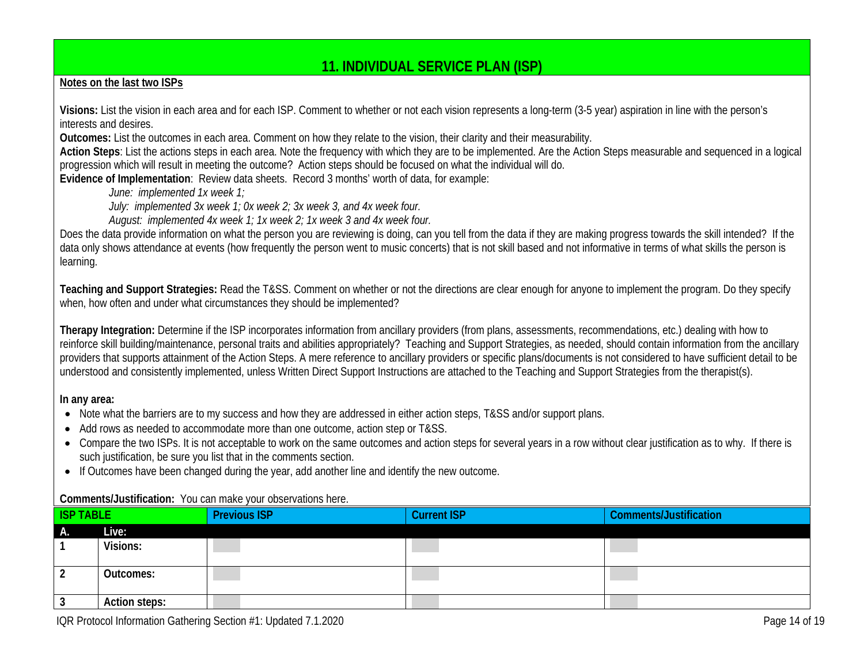# <span id="page-13-0"></span>**11. INDIVIDUAL SERVICE PLAN (ISP)**

## **Notes on the last two ISPs**

**Visions:** List the vision in each area and for each ISP. Comment to whether or not each vision represents a long-term (3-5 year) aspiration in line with the person's interests and desires.

**Outcomes:** List the outcomes in each area. Comment on how they relate to the vision, their clarity and their measurability.

**Action Steps**: List the actions steps in each area. Note the frequency with which they are to be implemented. Are the Action Steps measurable and sequenced in a logical progression which will result in meeting the outcome? Action steps should be focused on what the individual will do.

**Evidence of Implementation**: Review data sheets. Record 3 months' worth of data, for example:

*June: implemented 1x week 1;*

*July: implemented 3x week 1; 0x week 2; 3x week 3, and 4x week four.*

*August: implemented 4x week 1; 1x week 2; 1x week 3 and 4x week four.*

Does the data provide information on what the person you are reviewing is doing, can you tell from the data if they are making progress towards the skill intended? If the data only shows attendance at events (how frequently the person went to music concerts) that is not skill based and not informative in terms of what skills the person is learning.

**Teaching and Support Strategies:** Read the T&SS. Comment on whether or not the directions are clear enough for anyone to implement the program. Do they specify when, how often and under what circumstances they should be implemented?

**Therapy Integration:** Determine if the ISP incorporates information from ancillary providers (from plans, assessments, recommendations, etc.) dealing with how to reinforce skill building/maintenance, personal traits and abilities appropriately? Teaching and Support Strategies, as needed, should contain information from the ancillary providers that supports attainment of the Action Steps. A mere reference to ancillary providers or specific plans/documents is not considered to have sufficient detail to be understood and consistently implemented, unless Written Direct Support Instructions are attached to the Teaching and Support Strategies from the therapist(s).

### **In any area:**

- Note what the barriers are to my success and how they are addressed in either action steps, T&SS and/or support plans.
- Add rows as needed to accommodate more than one outcome, action step or T&SS.
- Compare the two ISPs. It is not acceptable to work on the same outcomes and action steps for several years in a row without clear justification as to why. If there is such justification, be sure you list that in the comments section.
- If Outcomes have been changed during the year, add another line and identify the new outcome.

### **Comments/Justification:** You can make your observations here.

| <b>ISP TABLE</b> |               | <b>Previous ISP</b> | <b>Current ISP</b> | <b>Comments/Justification</b> |
|------------------|---------------|---------------------|--------------------|-------------------------------|
| А.               | Live:         |                     |                    |                               |
|                  | Visions:      |                     |                    |                               |
|                  | Outcomes:     |                     |                    |                               |
|                  | Action steps: |                     |                    |                               |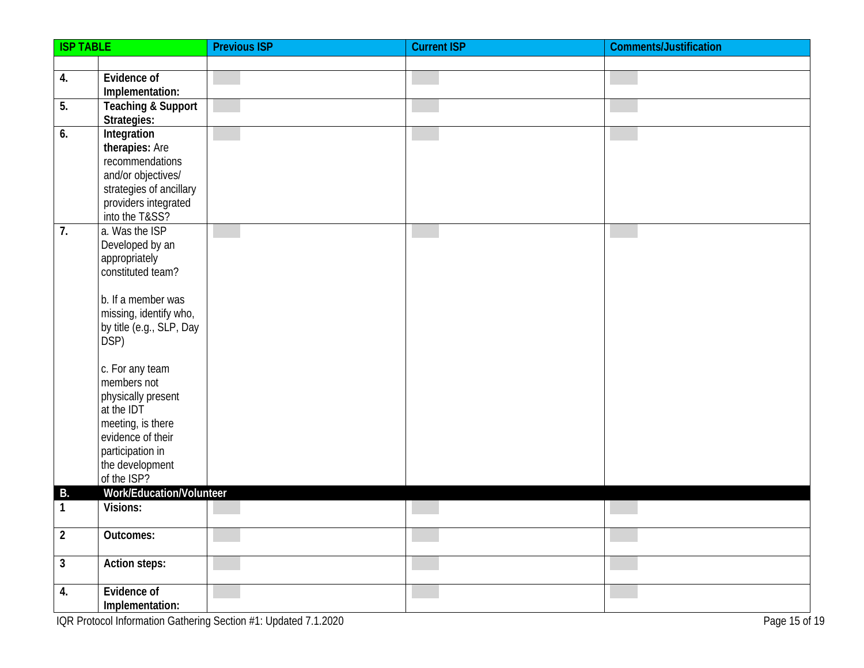| <b>ISP TABLE</b> |                                     | <b>Previous ISP</b> | <b>Current ISP</b> | <b>Comments/Justification</b> |
|------------------|-------------------------------------|---------------------|--------------------|-------------------------------|
|                  |                                     |                     |                    |                               |
| 4.               | Evidence of                         |                     |                    |                               |
|                  | Implementation:                     |                     |                    |                               |
| 5.               | <b>Teaching &amp; Support</b>       |                     |                    |                               |
| 6.               | Strategies:<br>Integration          |                     |                    |                               |
|                  | therapies: Are                      |                     |                    |                               |
|                  | recommendations                     |                     |                    |                               |
|                  | and/or objectives/                  |                     |                    |                               |
|                  | strategies of ancillary             |                     |                    |                               |
|                  | providers integrated                |                     |                    |                               |
|                  | into the T&SS?                      |                     |                    |                               |
| 7.               | a. Was the ISP                      |                     |                    |                               |
|                  | Developed by an<br>appropriately    |                     |                    |                               |
|                  | constituted team?                   |                     |                    |                               |
|                  |                                     |                     |                    |                               |
|                  | b. If a member was                  |                     |                    |                               |
|                  | missing, identify who,              |                     |                    |                               |
|                  | by title (e.g., SLP, Day            |                     |                    |                               |
|                  | DSP)                                |                     |                    |                               |
|                  | c. For any team                     |                     |                    |                               |
|                  | members not                         |                     |                    |                               |
|                  | physically present                  |                     |                    |                               |
|                  | at the IDT                          |                     |                    |                               |
|                  | meeting, is there                   |                     |                    |                               |
|                  | evidence of their                   |                     |                    |                               |
|                  | participation in<br>the development |                     |                    |                               |
|                  | of the ISP?                         |                     |                    |                               |
| <b>B.</b>        | Work/Education/Volunteer            |                     |                    |                               |
| 1                | Visions:                            |                     |                    |                               |
|                  |                                     |                     |                    |                               |
| $\overline{2}$   | Outcomes:                           |                     |                    |                               |
| $\mathbf{3}$     | Action steps:                       |                     |                    |                               |
| 4.               | Evidence of                         |                     |                    |                               |
|                  | Implementation:                     |                     |                    |                               |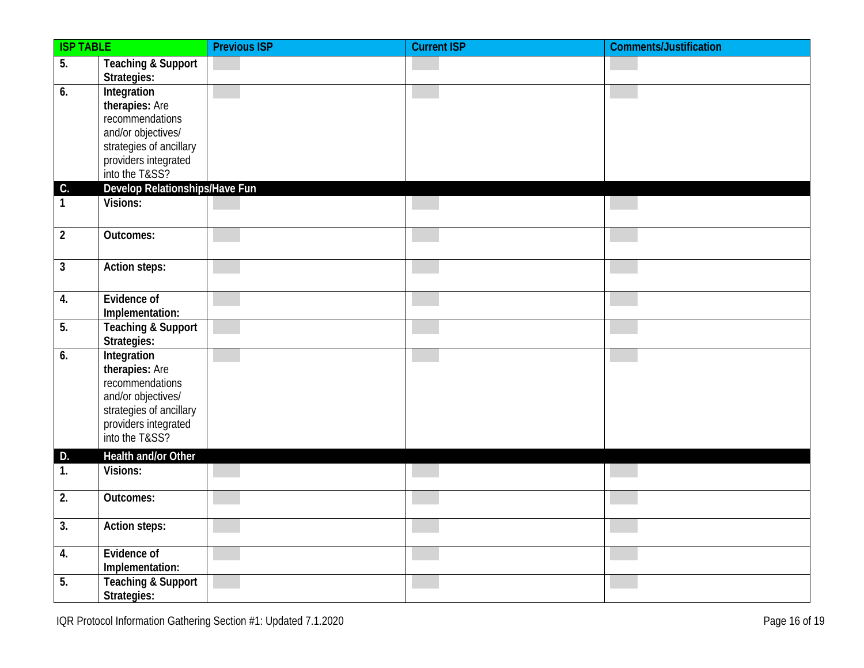| <b>ISP TABLE</b> |                                                                                                                                             | <b>Previous ISP</b> | <b>Current ISP</b> | <b>Comments/Justification</b> |
|------------------|---------------------------------------------------------------------------------------------------------------------------------------------|---------------------|--------------------|-------------------------------|
| $\overline{5}$ . | <b>Teaching &amp; Support</b><br>Strategies:                                                                                                |                     |                    |                               |
| 6.               | Integration<br>therapies: Are<br>recommendations<br>and/or objectives/<br>strategies of ancillary<br>providers integrated<br>into the T&SS? |                     |                    |                               |
| $\mathsf{C}.$    | Develop Relationships/Have Fun                                                                                                              |                     |                    |                               |
| $\mathbf{1}$     | Visions:                                                                                                                                    |                     |                    |                               |
| $\overline{2}$   | Outcomes:                                                                                                                                   |                     |                    |                               |
| $\mathbf{3}$     | Action steps:                                                                                                                               |                     |                    |                               |
| 4.               | Evidence of<br>Implementation:                                                                                                              |                     |                    |                               |
| $\overline{5}$ . | <b>Teaching &amp; Support</b><br>Strategies:                                                                                                |                     |                    |                               |
| 6.               | Integration<br>therapies: Are<br>recommendations<br>and/or objectives/<br>strategies of ancillary<br>providers integrated<br>into the T&SS? |                     |                    |                               |
| D.               | Health and/or Other                                                                                                                         |                     |                    |                               |
| 1.               | Visions:                                                                                                                                    |                     |                    |                               |
| 2.               | Outcomes:                                                                                                                                   |                     |                    |                               |
| 3.               | <b>Action steps:</b>                                                                                                                        |                     |                    |                               |
| 4.               | Evidence of<br>Implementation:                                                                                                              |                     |                    |                               |
| 5.               | <b>Teaching &amp; Support</b><br>Strategies:                                                                                                |                     |                    |                               |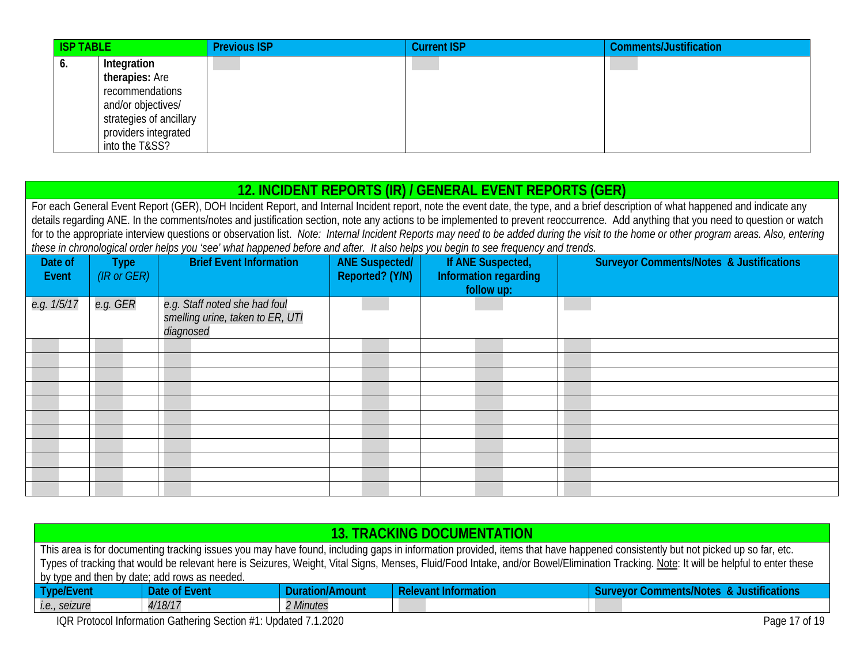| <b>ISP TABLE</b> |                                                                                         | <b>Previous ISP</b> | <b>Current ISP</b> | Comments/Justification |
|------------------|-----------------------------------------------------------------------------------------|---------------------|--------------------|------------------------|
| O.               | Integration<br>therapies: Are<br>recommendations                                        |                     |                    |                        |
|                  | and/or objectives/<br>strategies of ancillary<br>providers integrated<br>into the T&SS? |                     |                    |                        |

# **12. INCIDENT REPORTS (IR) / GENERAL EVENT REPORTS (GER)**

<span id="page-16-0"></span>For each General Event Report (GER), DOH Incident Report, and Internal Incident report, note the event date, the type, and a brief description of what happened and indicate any details regarding ANE. In the comments/notes and justification section, note any actions to be implemented to prevent reoccurrence. Add anything that you need to question or watch for to the appropriate interview questions or observation list. *Note: Internal Incident Reports may need to be added during the visit to the home or other program areas. Also, entering these in chronological order helps you 'see' what happened before and after. It also helps you begin to see frequency and trends.*

| Date of<br>Event | <b>Type</b><br>(IR or GER) | <b>Brief Event Information</b>                                                 | <b>ANE Suspected/</b><br>If ANE Suspected,<br>Reported? (Y/N)<br>Information regarding<br>follow up: |  | <b>Surveyor Comments/Notes &amp; Justifications</b> |
|------------------|----------------------------|--------------------------------------------------------------------------------|------------------------------------------------------------------------------------------------------|--|-----------------------------------------------------|
| e.g. 1/5/17      | e.g. GER                   | e.g. Staff noted she had foul<br>smelling urine, taken to ER, UTI<br>diagnosed |                                                                                                      |  |                                                     |
|                  |                            |                                                                                |                                                                                                      |  |                                                     |
|                  |                            |                                                                                |                                                                                                      |  |                                                     |
|                  |                            |                                                                                |                                                                                                      |  |                                                     |
|                  |                            |                                                                                |                                                                                                      |  |                                                     |
|                  |                            |                                                                                |                                                                                                      |  |                                                     |
|                  |                            |                                                                                |                                                                                                      |  |                                                     |
|                  |                            |                                                                                |                                                                                                      |  |                                                     |
|                  |                            |                                                                                |                                                                                                      |  |                                                     |
|                  |                            |                                                                                |                                                                                                      |  |                                                     |
|                  |                            |                                                                                |                                                                                                      |  |                                                     |
|                  |                            |                                                                                |                                                                                                      |  |                                                     |

<span id="page-16-1"></span>

| 13. TRACKING DOCUMENTATION                                                       |                                                                                                                                                                                       |                 |                             |                                                     |  |  |  |  |
|----------------------------------------------------------------------------------|---------------------------------------------------------------------------------------------------------------------------------------------------------------------------------------|-----------------|-----------------------------|-----------------------------------------------------|--|--|--|--|
|                                                                                  | This area is for documenting tracking issues you may have found, including gaps in information provided, items that have happened consistently but not picked up so far, etc.         |                 |                             |                                                     |  |  |  |  |
|                                                                                  | Types of tracking that would be relevant here is Seizures, Weight, Vital Signs, Menses, Fluid/Food Intake, and/or Bowel/Elimination Tracking. Note: It will be helpful to enter these |                 |                             |                                                     |  |  |  |  |
|                                                                                  | by type and then by date; add rows as needed.                                                                                                                                         |                 |                             |                                                     |  |  |  |  |
| Type/Event                                                                       | Date of Event                                                                                                                                                                         | Duration/Amount | <b>Relevant Information</b> | <b>Surveyor Comments/Notes &amp; Justifications</b> |  |  |  |  |
| i.e., seizure                                                                    | 4/18/17<br><i>2 Minutes</i>                                                                                                                                                           |                 |                             |                                                     |  |  |  |  |
| IQR Protocol Information Gathering Section #1: Updated 7.1.2020<br>Page 17 of 19 |                                                                                                                                                                                       |                 |                             |                                                     |  |  |  |  |